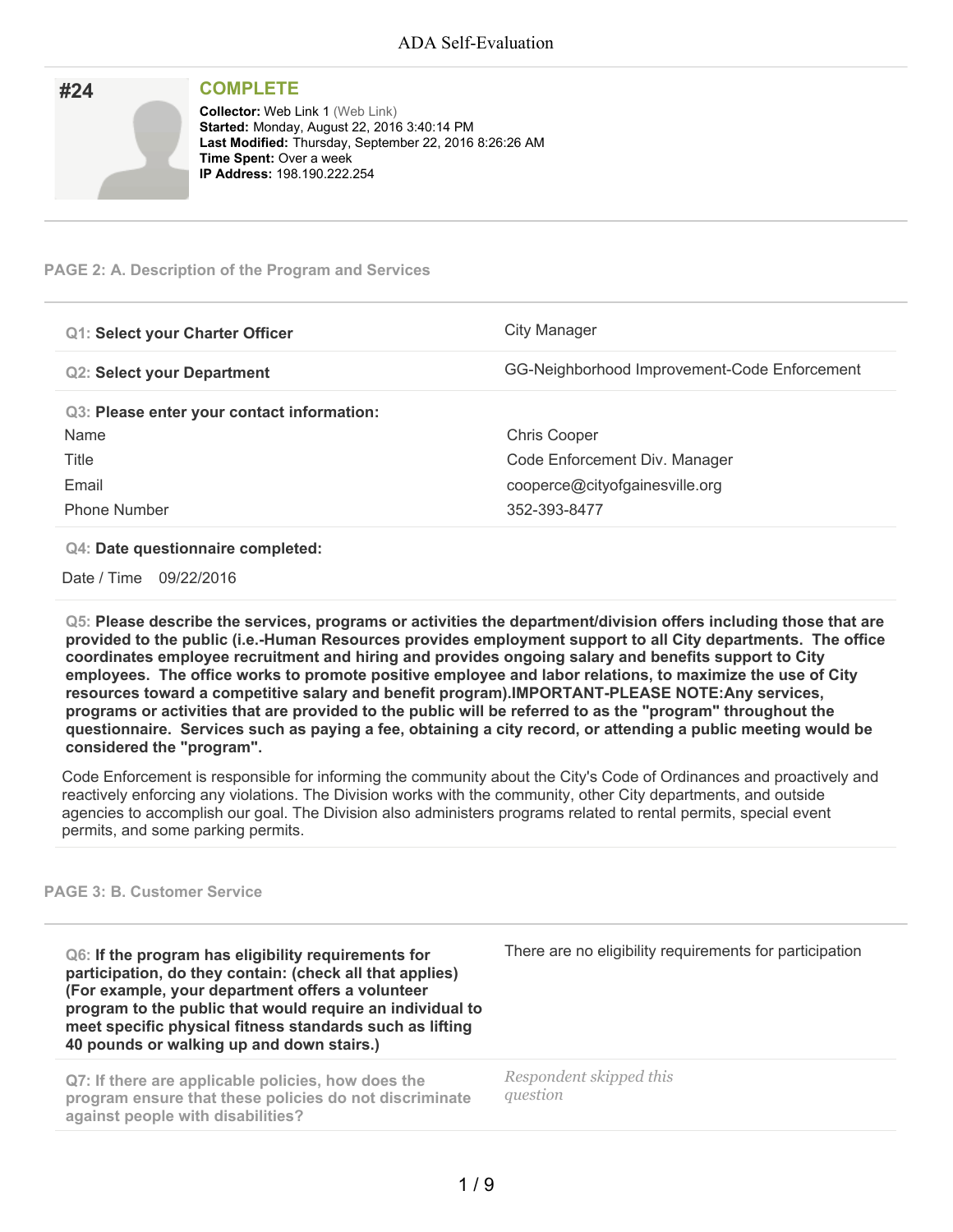| #24 | <b>COMPLETE</b>                                                                                                                                                                                                          |
|-----|--------------------------------------------------------------------------------------------------------------------------------------------------------------------------------------------------------------------------|
|     | <b>Collector: Web Link 1 (Web Link)</b><br>Started: Monday, August 22, 2016 3:40:14 PM<br>Last Modified: Thursday, September 22, 2016 8:26:26 AM<br><b>Time Spent: Over a week</b><br><b>IP Address: 198.190.222.254</b> |

## **PAGE 2: A. Description of the Program and Services**

| <b>Q1: Select your Charter Officer</b>     | City Manager                                 |
|--------------------------------------------|----------------------------------------------|
| <b>Q2: Select your Department</b>          | GG-Neighborhood Improvement-Code Enforcement |
| Q3: Please enter your contact information: |                                              |
| Name                                       | <b>Chris Cooper</b>                          |
| Title                                      | Code Enforcement Div. Manager                |
| Email                                      | cooperce@cityofgainesville.org               |
| <b>Phone Number</b>                        | 352-393-8477                                 |

## **Q4: Date questionnaire completed:**

Date / Time 09/22/2016

**Q5: Please describe the services, programs or activities the department/division offers including those that are provided to the public (i.e.-Human Resources provides employment support to all City departments. The office coordinates employee recruitment and hiring and provides ongoing salary and benefits support to City employees. The office works to promote positive employee and labor relations, to maximize the use of City resources toward a competitive salary and benefit program).IMPORTANT-PLEASE NOTE:Any services,** programs or activities that are provided to the public will be referred to as the "program" throughout the questionnaire. Services such as paying a fee, obtaining a city record, or attending a public meeting would be **considered the "program".**

Code Enforcement is responsible for informing the community about the City's Code of Ordinances and proactively and reactively enforcing any violations. The Division works with the community, other City departments, and outside agencies to accomplish our goal. The Division also administers programs related to rental permits, special event permits, and some parking permits.

## **PAGE 3: B. Customer Service**

**Q6: If the program has eligibility requirements for participation, do they contain: (check all that applies) (For example, your department offers a volunteer program to the public that would require an individual to meet specific physical fitness standards such as lifting 40 pounds or walking up and down stairs.)**

**Q7: If there are applicable policies, how does the program ensure that these policies do not discriminate against people with disabilities?**

There are no eligibility requirements for participation

*Respondent skipped this question*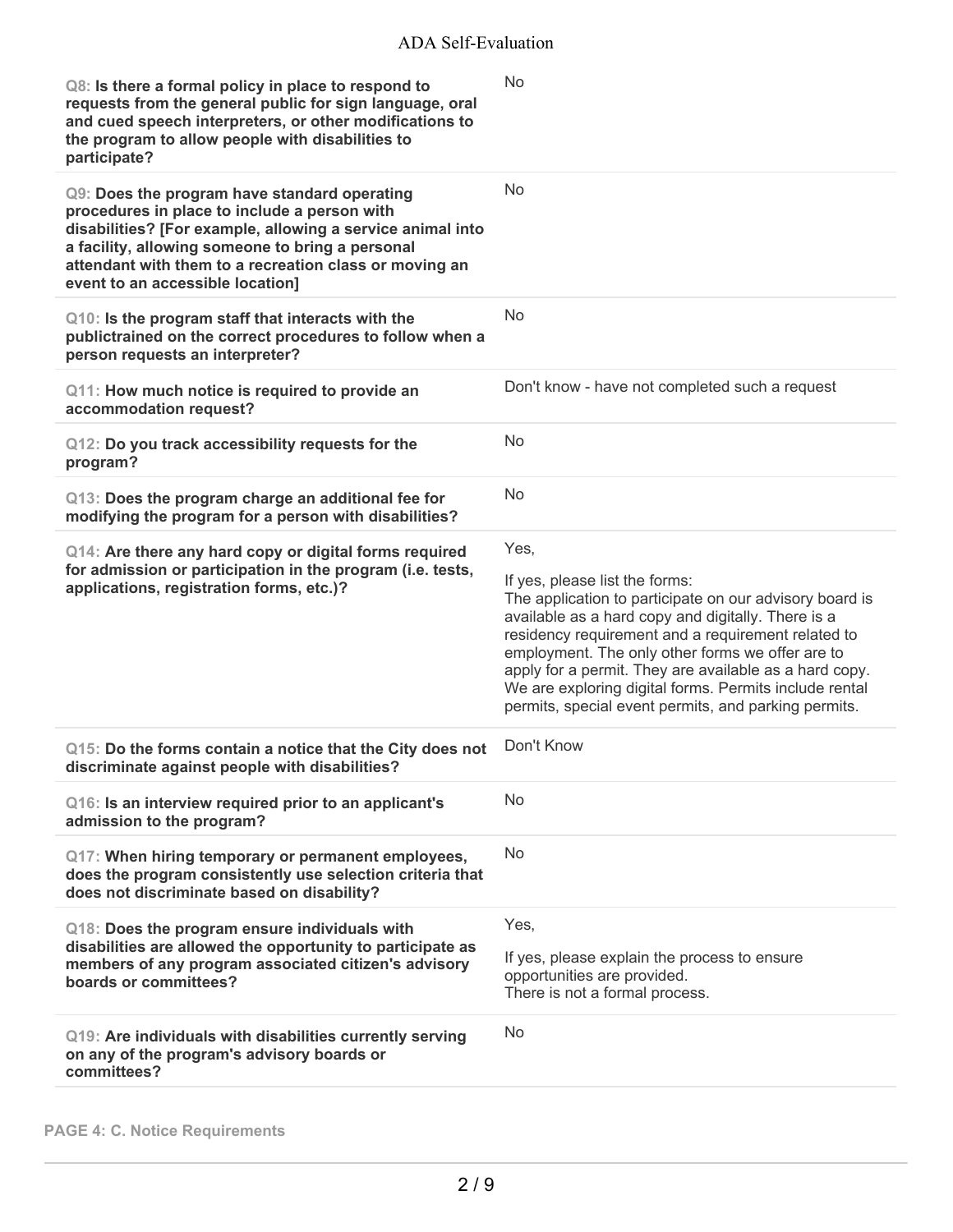| Q8: Is there a formal policy in place to respond to<br>requests from the general public for sign language, oral<br>and cued speech interpreters, or other modifications to<br>the program to allow people with disabilities to<br>participate?                                                               | No                                                                                                                                                                                                                                                                                                                                                                                                                                            |
|--------------------------------------------------------------------------------------------------------------------------------------------------------------------------------------------------------------------------------------------------------------------------------------------------------------|-----------------------------------------------------------------------------------------------------------------------------------------------------------------------------------------------------------------------------------------------------------------------------------------------------------------------------------------------------------------------------------------------------------------------------------------------|
| Q9: Does the program have standard operating<br>procedures in place to include a person with<br>disabilities? [For example, allowing a service animal into<br>a facility, allowing someone to bring a personal<br>attendant with them to a recreation class or moving an<br>event to an accessible location] | No                                                                                                                                                                                                                                                                                                                                                                                                                                            |
| Q10: Is the program staff that interacts with the<br>publictrained on the correct procedures to follow when a<br>person requests an interpreter?                                                                                                                                                             | No                                                                                                                                                                                                                                                                                                                                                                                                                                            |
| Q11: How much notice is required to provide an<br>accommodation request?                                                                                                                                                                                                                                     | Don't know - have not completed such a request                                                                                                                                                                                                                                                                                                                                                                                                |
| Q12: Do you track accessibility requests for the<br>program?                                                                                                                                                                                                                                                 | No                                                                                                                                                                                                                                                                                                                                                                                                                                            |
| Q13: Does the program charge an additional fee for<br>modifying the program for a person with disabilities?                                                                                                                                                                                                  | No                                                                                                                                                                                                                                                                                                                                                                                                                                            |
| Q14: Are there any hard copy or digital forms required<br>for admission or participation in the program (i.e. tests,<br>applications, registration forms, etc.)?                                                                                                                                             | Yes,<br>If yes, please list the forms:<br>The application to participate on our advisory board is<br>available as a hard copy and digitally. There is a<br>residency requirement and a requirement related to<br>employment. The only other forms we offer are to<br>apply for a permit. They are available as a hard copy.<br>We are exploring digital forms. Permits include rental<br>permits, special event permits, and parking permits. |
| Q15: Do the forms contain a notice that the City does not<br>discriminate against people with disabilities?                                                                                                                                                                                                  | Don't Know                                                                                                                                                                                                                                                                                                                                                                                                                                    |
| Q16: Is an interview required prior to an applicant's<br>admission to the program?                                                                                                                                                                                                                           | No                                                                                                                                                                                                                                                                                                                                                                                                                                            |
| Q17: When hiring temporary or permanent employees,<br>does the program consistently use selection criteria that<br>does not discriminate based on disability?                                                                                                                                                | No                                                                                                                                                                                                                                                                                                                                                                                                                                            |
| Q18: Does the program ensure individuals with<br>disabilities are allowed the opportunity to participate as<br>members of any program associated citizen's advisory<br>boards or committees?                                                                                                                 | Yes,<br>If yes, please explain the process to ensure<br>opportunities are provided.<br>There is not a formal process.                                                                                                                                                                                                                                                                                                                         |
| Q19: Are individuals with disabilities currently serving<br>on any of the program's advisory boards or<br>committees?                                                                                                                                                                                        | No                                                                                                                                                                                                                                                                                                                                                                                                                                            |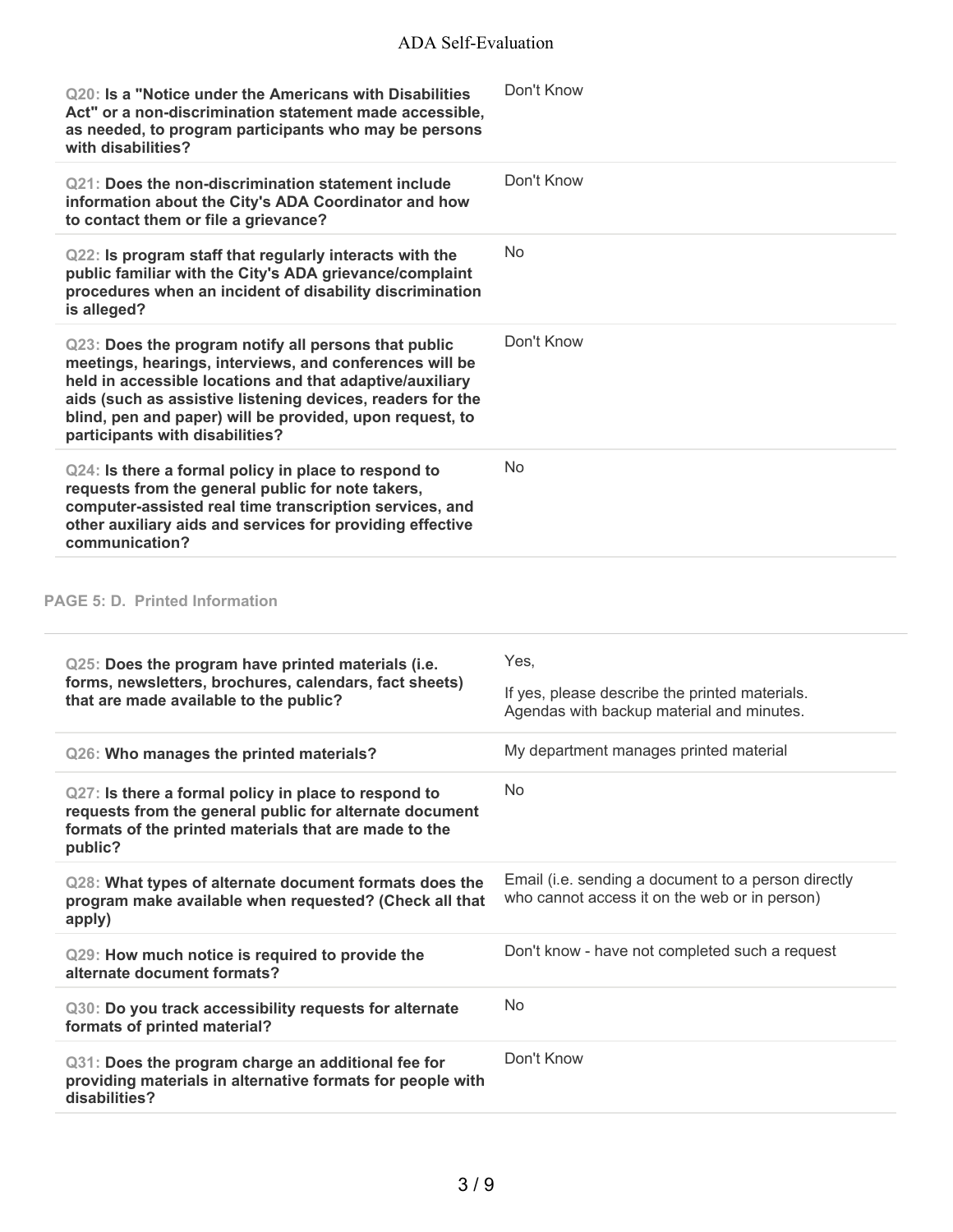| Q20: Is a "Notice under the Americans with Disabilities<br>Act" or a non-discrimination statement made accessible,<br>as needed, to program participants who may be persons<br>with disabilities?                                                                                                                                        | Don't Know                                                                                           |
|------------------------------------------------------------------------------------------------------------------------------------------------------------------------------------------------------------------------------------------------------------------------------------------------------------------------------------------|------------------------------------------------------------------------------------------------------|
| Q21: Does the non-discrimination statement include<br>information about the City's ADA Coordinator and how<br>to contact them or file a grievance?                                                                                                                                                                                       | Don't Know                                                                                           |
| Q22: Is program staff that regularly interacts with the<br>public familiar with the City's ADA grievance/complaint<br>procedures when an incident of disability discrimination<br>is alleged?                                                                                                                                            | <b>No</b>                                                                                            |
| Q23: Does the program notify all persons that public<br>meetings, hearings, interviews, and conferences will be<br>held in accessible locations and that adaptive/auxiliary<br>aids (such as assistive listening devices, readers for the<br>blind, pen and paper) will be provided, upon request, to<br>participants with disabilities? | Don't Know                                                                                           |
| Q24: Is there a formal policy in place to respond to<br>requests from the general public for note takers,<br>computer-assisted real time transcription services, and<br>other auxiliary aids and services for providing effective<br>communication?                                                                                      | <b>No</b>                                                                                            |
| <b>PAGE 5: D. Printed Information</b>                                                                                                                                                                                                                                                                                                    |                                                                                                      |
| Q25: Does the program have printed materials (i.e.<br>forms, newsletters, brochures, calendars, fact sheets)<br>that are made available to the public?                                                                                                                                                                                   | Yes,<br>If yes, please describe the printed materials.<br>Agendas with backup material and minutes.  |
| Q26: Who manages the printed materials?                                                                                                                                                                                                                                                                                                  | My department manages printed material                                                               |
| Q27: Is there a formal policy in place to respond to<br>requests from the general public for alternate document<br>formats of the printed materials that are made to the<br>public?                                                                                                                                                      | <b>No</b>                                                                                            |
| Q28: What types of alternate document formats does the<br>program make available when requested? (Check all that<br>apply)                                                                                                                                                                                                               | Email (i.e. sending a document to a person directly<br>who cannot access it on the web or in person) |
| Q29: How much notice is required to provide the<br>alternate document formats?                                                                                                                                                                                                                                                           | Don't know - have not completed such a request                                                       |
| Q30: Do you track accessibility requests for alternate<br>formats of printed material?                                                                                                                                                                                                                                                   | <b>No</b>                                                                                            |
| Q31: Does the program charge an additional fee for<br>providing materials in alternative formats for people with                                                                                                                                                                                                                         | Don't Know                                                                                           |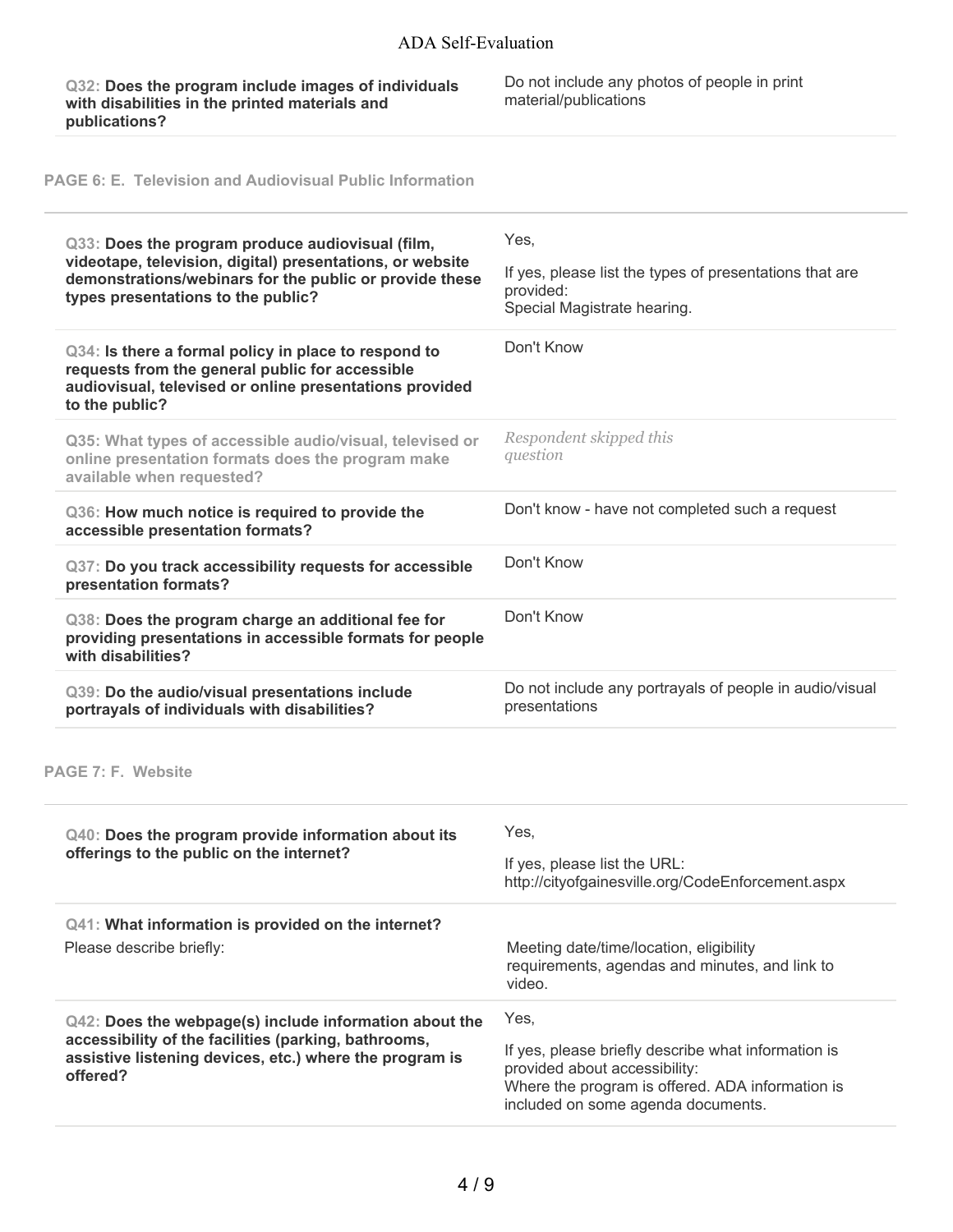**Q32: Does the program include images of individuals with disabilities in the printed materials and publications?**

Do not include any photos of people in print material/publications

**PAGE 6: E. Television and Audiovisual Public Information**

| Q33: Does the program produce audiovisual (film,<br>videotape, television, digital) presentations, or website<br>demonstrations/webinars for the public or provide these<br>types presentations to the public?     | Yes,<br>If yes, please list the types of presentations that are<br>provided:<br>Special Magistrate hearing. |
|--------------------------------------------------------------------------------------------------------------------------------------------------------------------------------------------------------------------|-------------------------------------------------------------------------------------------------------------|
| Q34: Is there a formal policy in place to respond to<br>requests from the general public for accessible<br>audiovisual, televised or online presentations provided<br>to the public?                               | Don't Know                                                                                                  |
| Q35: What types of accessible audio/visual, televised or<br>online presentation formats does the program make<br>available when requested?                                                                         | Respondent skipped this<br>question                                                                         |
| Q36: How much notice is required to provide the<br>accessible presentation formats?                                                                                                                                | Don't know - have not completed such a request                                                              |
| Q37: Do you track accessibility requests for accessible<br>presentation formats?                                                                                                                                   | Don't Know                                                                                                  |
| Q38: Does the program charge an additional fee for<br>providing presentations in accessible formats for people<br>with disabilities?                                                                               | Don't Know                                                                                                  |
|                                                                                                                                                                                                                    |                                                                                                             |
| Q39: Do the audio/visual presentations include<br>portrayals of individuals with disabilities?                                                                                                                     | Do not include any portrayals of people in audio/visual<br>presentations                                    |
|                                                                                                                                                                                                                    |                                                                                                             |
| Q40: Does the program provide information about its<br>offerings to the public on the internet?                                                                                                                    | Yes,<br>If yes, please list the URL:<br>http://cityofgainesville.org/CodeEnforcement.aspx                   |
| Q41: What information is provided on the internet?<br>Please describe briefly:                                                                                                                                     | Meeting date/time/location, eligibility<br>requirements, agendas and minutes, and link to<br>video.         |
| <b>PAGE 7: F. Website</b><br>Q42: Does the webpage(s) include information about the<br>accessibility of the facilities (parking, bathrooms,<br>assistive listening devices, etc.) where the program is<br>offered? | Yes,<br>If yes, please briefly describe what information is<br>provided about accessibility:                |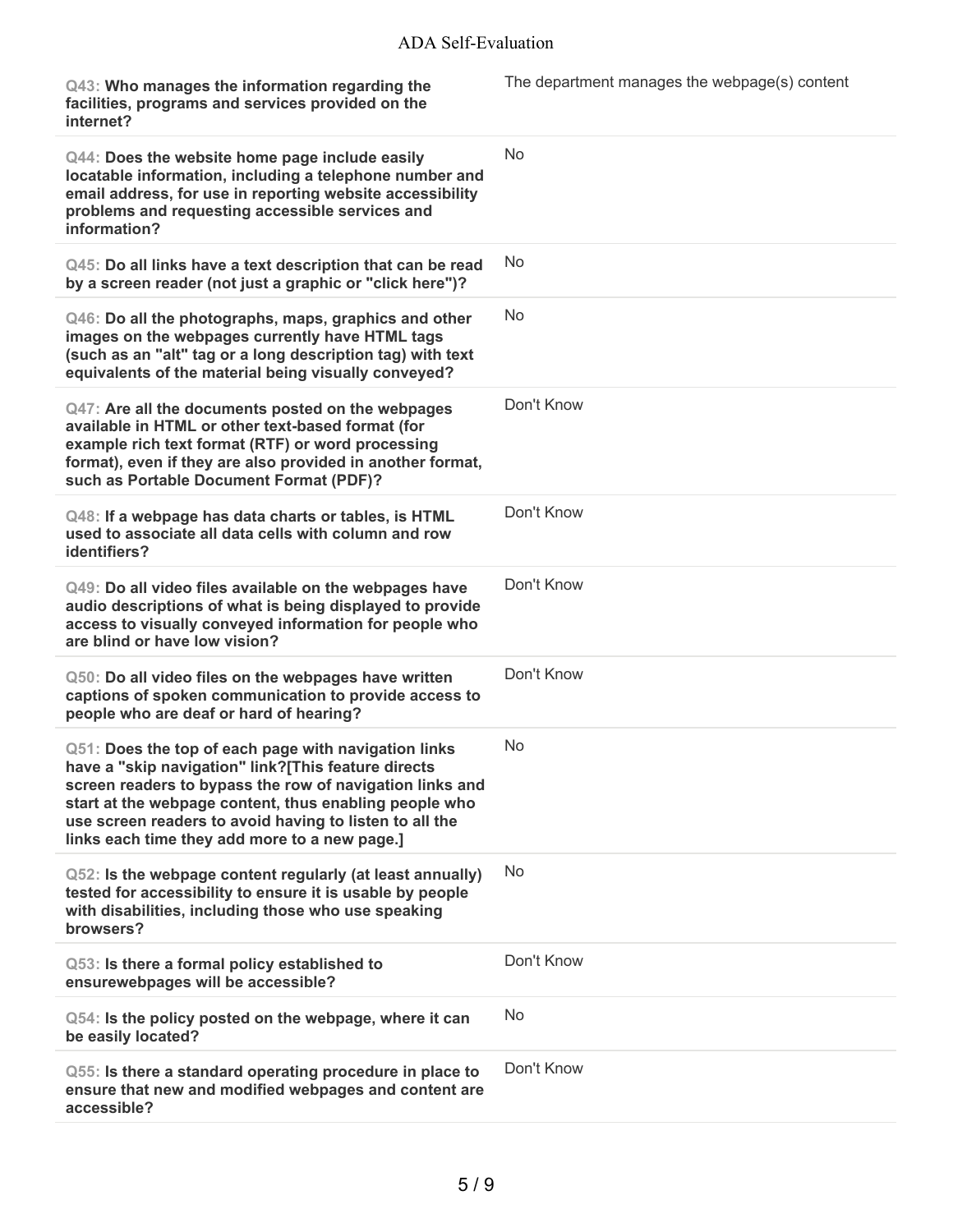| Q43: Who manages the information regarding the<br>facilities, programs and services provided on the<br>internet?                                                                                                                                                                                                                              | The department manages the webpage(s) content |
|-----------------------------------------------------------------------------------------------------------------------------------------------------------------------------------------------------------------------------------------------------------------------------------------------------------------------------------------------|-----------------------------------------------|
| Q44: Does the website home page include easily<br>locatable information, including a telephone number and<br>email address, for use in reporting website accessibility<br>problems and requesting accessible services and<br>information?                                                                                                     | <b>No</b>                                     |
| Q45: Do all links have a text description that can be read<br>by a screen reader (not just a graphic or "click here")?                                                                                                                                                                                                                        | <b>No</b>                                     |
| Q46: Do all the photographs, maps, graphics and other<br>images on the webpages currently have HTML tags<br>(such as an "alt" tag or a long description tag) with text<br>equivalents of the material being visually conveyed?                                                                                                                | <b>No</b>                                     |
| Q47: Are all the documents posted on the webpages<br>available in HTML or other text-based format (for<br>example rich text format (RTF) or word processing<br>format), even if they are also provided in another format,<br>such as Portable Document Format (PDF)?                                                                          | Don't Know                                    |
| Q48: If a webpage has data charts or tables, is HTML<br>used to associate all data cells with column and row<br>identifiers?                                                                                                                                                                                                                  | Don't Know                                    |
| Q49: Do all video files available on the webpages have<br>audio descriptions of what is being displayed to provide<br>access to visually conveyed information for people who<br>are blind or have low vision?                                                                                                                                 | Don't Know                                    |
| Q50: Do all video files on the webpages have written<br>captions of spoken communication to provide access to<br>people who are deaf or hard of hearing?                                                                                                                                                                                      | Don't Know                                    |
| Q51: Does the top of each page with navigation links<br>have a "skip navigation" link?[This feature directs<br>screen readers to bypass the row of navigation links and<br>start at the webpage content, thus enabling people who<br>use screen readers to avoid having to listen to all the<br>links each time they add more to a new page.] | <b>No</b>                                     |
| Q52: Is the webpage content regularly (at least annually)<br>tested for accessibility to ensure it is usable by people<br>with disabilities, including those who use speaking<br>browsers?                                                                                                                                                    | No.                                           |
| Q53: Is there a formal policy established to<br>ensurewebpages will be accessible?                                                                                                                                                                                                                                                            | Don't Know                                    |
| Q54: Is the policy posted on the webpage, where it can<br>be easily located?                                                                                                                                                                                                                                                                  | No                                            |
| Q55: Is there a standard operating procedure in place to<br>ensure that new and modified webpages and content are<br>accessible?                                                                                                                                                                                                              | Don't Know                                    |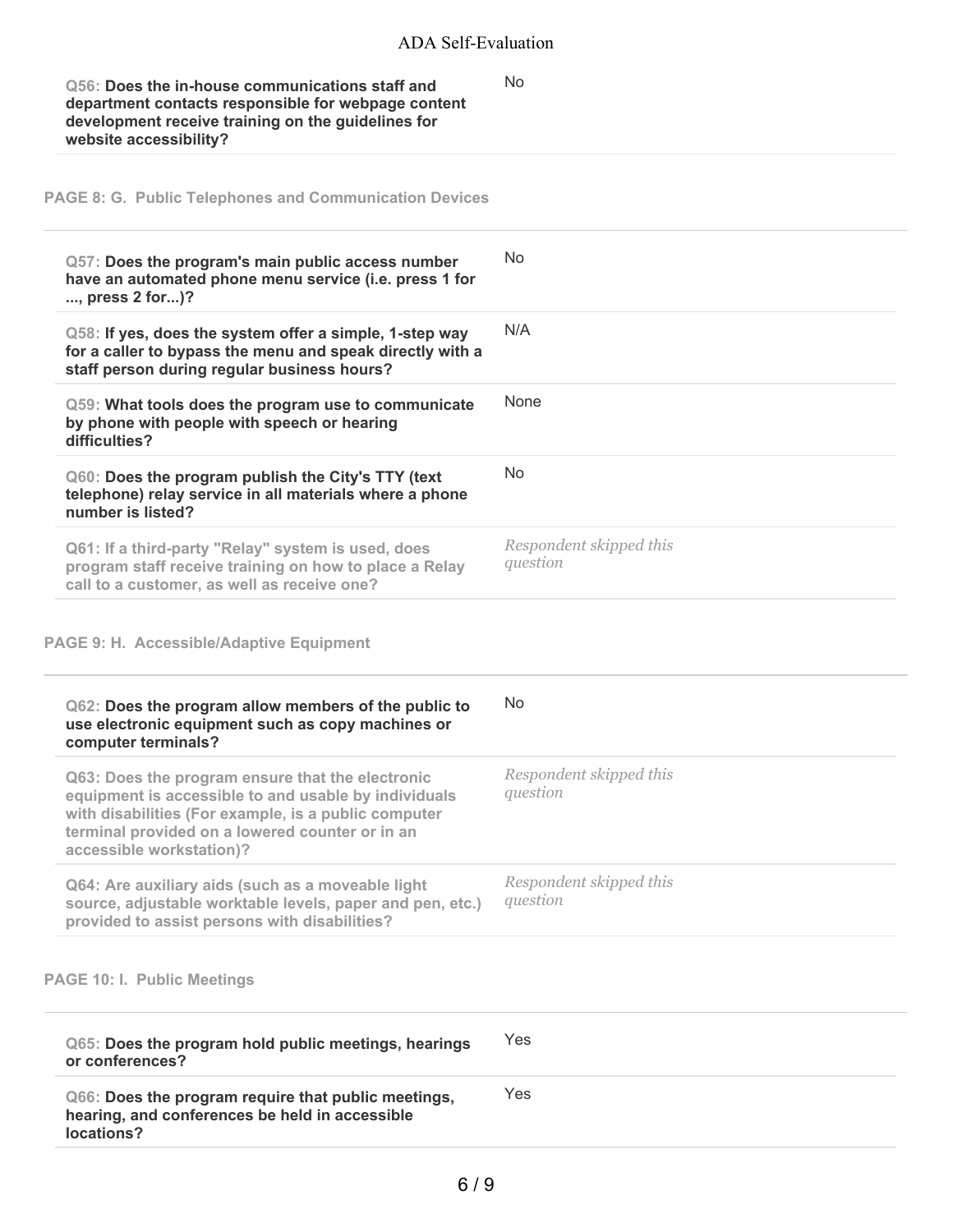No

**Q56: Does the in-house communications staff and department contacts responsible for webpage content development receive training on the guidelines for website accessibility?**

**PAGE 8: G. Public Telephones and Communication Devices**

| Q57: Does the program's main public access number<br>have an automated phone menu service (i.e. press 1 for<br>, press 2 for)?                                                                                                                  | No.                                 |
|-------------------------------------------------------------------------------------------------------------------------------------------------------------------------------------------------------------------------------------------------|-------------------------------------|
| Q58: If yes, does the system offer a simple, 1-step way<br>for a caller to bypass the menu and speak directly with a<br>staff person during regular business hours?                                                                             | N/A                                 |
| Q59: What tools does the program use to communicate<br>by phone with people with speech or hearing<br>difficulties?                                                                                                                             | None                                |
| Q60: Does the program publish the City's TTY (text<br>telephone) relay service in all materials where a phone<br>number is listed?                                                                                                              | No                                  |
| Q61: If a third-party "Relay" system is used, does<br>program staff receive training on how to place a Relay<br>call to a customer, as well as receive one?                                                                                     | Respondent skipped this<br>question |
| <b>PAGE 9: H. Accessible/Adaptive Equipment</b>                                                                                                                                                                                                 |                                     |
| Q62: Does the program allow members of the public to<br>use electronic equipment such as copy machines or<br>computer terminals?                                                                                                                | No                                  |
| Q63: Does the program ensure that the electronic<br>equipment is accessible to and usable by individuals<br>with disabilities (For example, is a public computer<br>terminal provided on a lowered counter or in an<br>accessible workstation)? | Respondent skipped this<br>question |
| Q64: Are auxiliary aids (such as a moveable light<br>source, adjustable worktable levels, paper and pen, etc.)<br>provided to assist persons with disabilities?                                                                                 | Respondent skipped this<br>question |
| <b>PAGE 10: I. Public Meetings</b>                                                                                                                                                                                                              |                                     |
| Q65: Does the program hold public meetings, hearings<br>or conferences?                                                                                                                                                                         | Yes                                 |
| Q66: Does the program require that public meetings,<br>hearing, and conferences be held in accessible<br>locations?                                                                                                                             | Yes                                 |
|                                                                                                                                                                                                                                                 |                                     |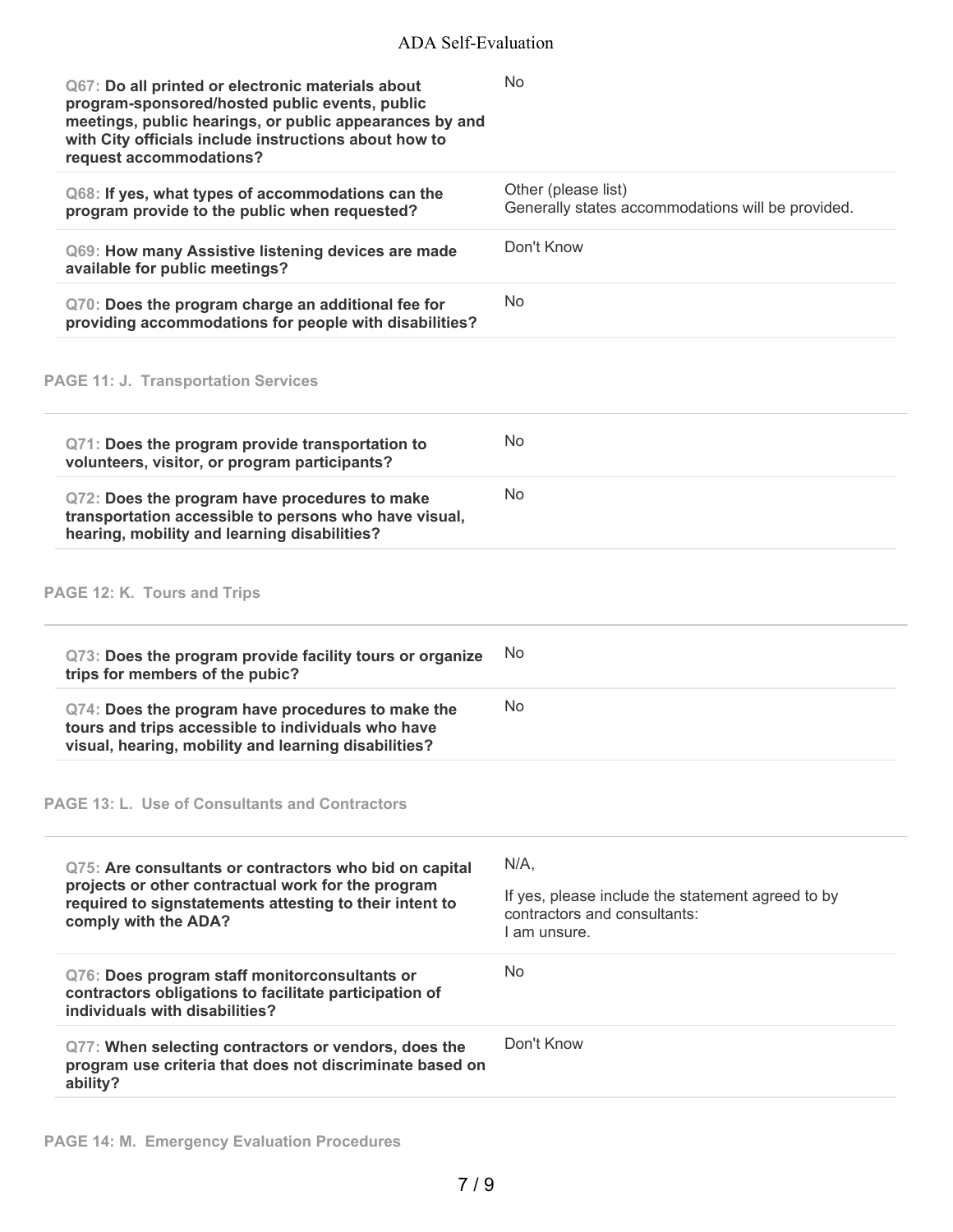| Q67: Do all printed or electronic materials about<br>program-sponsored/hosted public events, public<br>meetings, public hearings, or public appearances by and<br>with City officials include instructions about how to<br>request accommodations? | <b>No</b>                                                                                                   |
|----------------------------------------------------------------------------------------------------------------------------------------------------------------------------------------------------------------------------------------------------|-------------------------------------------------------------------------------------------------------------|
| Q68: If yes, what types of accommodations can the<br>program provide to the public when requested?                                                                                                                                                 | Other (please list)<br>Generally states accommodations will be provided.                                    |
| Q69: How many Assistive listening devices are made<br>available for public meetings?                                                                                                                                                               | Don't Know                                                                                                  |
| Q70: Does the program charge an additional fee for<br>providing accommodations for people with disabilities?                                                                                                                                       | No                                                                                                          |
| <b>PAGE 11: J. Transportation Services</b>                                                                                                                                                                                                         |                                                                                                             |
| Q71: Does the program provide transportation to<br>volunteers, visitor, or program participants?                                                                                                                                                   | <b>No</b>                                                                                                   |
| Q72: Does the program have procedures to make<br>transportation accessible to persons who have visual,<br>hearing, mobility and learning disabilities?                                                                                             | No.                                                                                                         |
| PAGE 12: K. Tours and Trips                                                                                                                                                                                                                        |                                                                                                             |
| Q73: Does the program provide facility tours or organize<br>trips for members of the pubic?                                                                                                                                                        | No                                                                                                          |
| Q74: Does the program have procedures to make the<br>tours and trips accessible to individuals who have<br>visual, hearing, mobility and learning disabilities?                                                                                    | <b>No</b>                                                                                                   |
| <b>PAGE 13: L. Use of Consultants and Contractors</b>                                                                                                                                                                                              |                                                                                                             |
| Q75: Are consultants or contractors who bid on capital<br>projects or other contractual work for the program<br>required to signstatements attesting to their intent to<br>comply with the ADA?                                                    | $N/A$ ,<br>If yes, please include the statement agreed to by<br>contractors and consultants:<br>Lam unsure. |
| Q76: Does program staff monitorconsultants or<br>contractors obligations to facilitate participation of<br>individuals with disabilities?                                                                                                          | No.                                                                                                         |
| Q77: When selecting contractors or vendors, does the<br>program use criteria that does not discriminate based on<br>ability?                                                                                                                       | Don't Know                                                                                                  |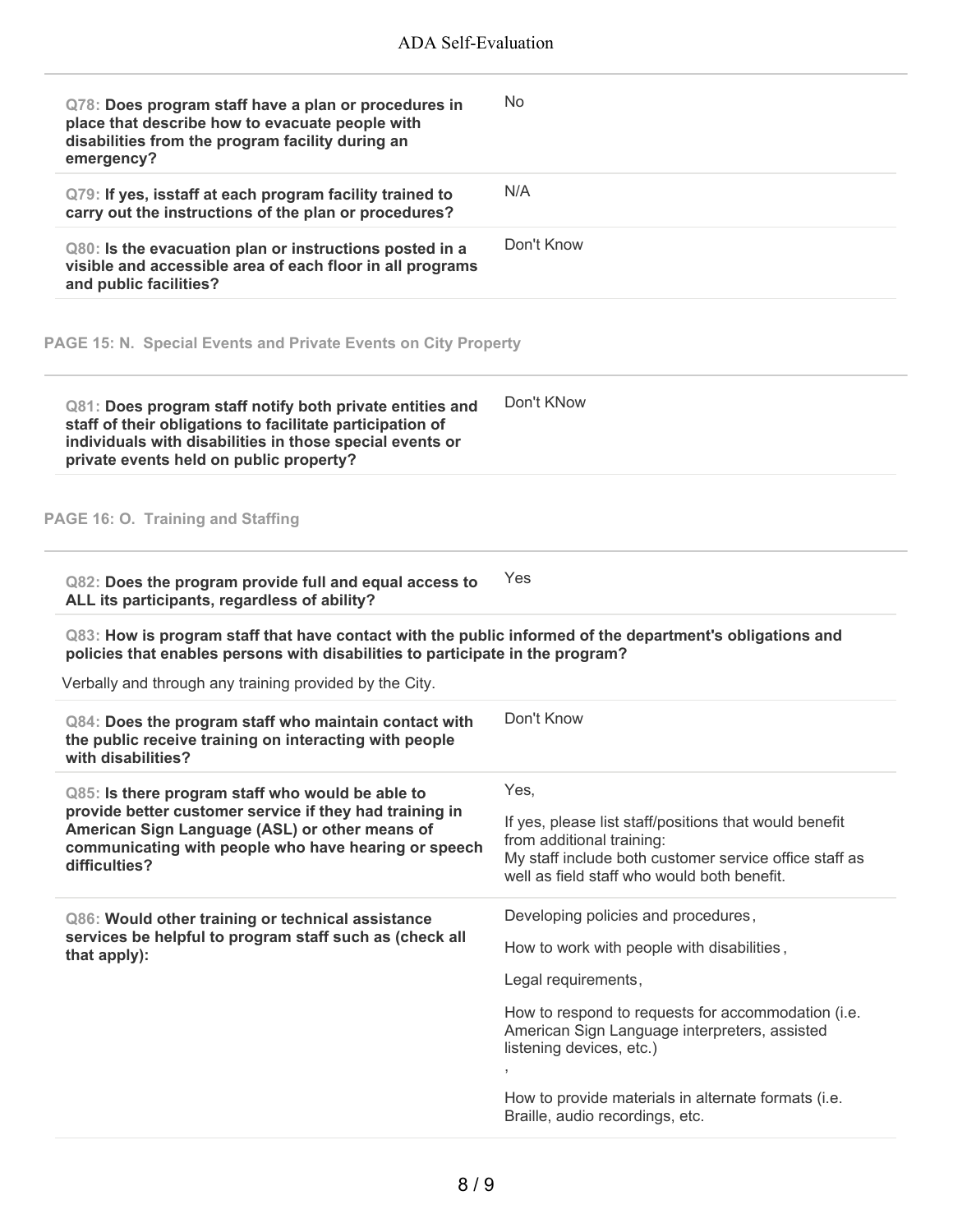| Q78: Does program staff have a plan or procedures in<br>place that describe how to evacuate people with<br>disabilities from the program facility during an<br>emergency?                                                              | No                                                                                                                                                                                                   |
|----------------------------------------------------------------------------------------------------------------------------------------------------------------------------------------------------------------------------------------|------------------------------------------------------------------------------------------------------------------------------------------------------------------------------------------------------|
| Q79: If yes, isstaff at each program facility trained to<br>carry out the instructions of the plan or procedures?                                                                                                                      | N/A                                                                                                                                                                                                  |
| Q80: Is the evacuation plan or instructions posted in a<br>visible and accessible area of each floor in all programs<br>and public facilities?                                                                                         | Don't Know                                                                                                                                                                                           |
| PAGE 15: N. Special Events and Private Events on City Property                                                                                                                                                                         |                                                                                                                                                                                                      |
| Q81: Does program staff notify both private entities and<br>staff of their obligations to facilitate participation of<br>individuals with disabilities in those special events or<br>private events held on public property?           | Don't KNow                                                                                                                                                                                           |
| PAGE 16: O. Training and Staffing                                                                                                                                                                                                      |                                                                                                                                                                                                      |
| Q82: Does the program provide full and equal access to<br>ALL its participants, regardless of ability?                                                                                                                                 | Yes                                                                                                                                                                                                  |
| Q83: How is program staff that have contact with the public informed of the department's obligations and<br>policies that enables persons with disabilities to participate in the program?                                             |                                                                                                                                                                                                      |
| Verbally and through any training provided by the City.                                                                                                                                                                                |                                                                                                                                                                                                      |
| Q84: Does the program staff who maintain contact with<br>the public receive training on interacting with people<br>with disabilities?                                                                                                  | Don't Know                                                                                                                                                                                           |
| Q85: Is there program staff who would be able to<br>provide better customer service if they had training in<br>American Sign Language (ASL) or other means of<br>communicating with people who have hearing or speech<br>difficulties? | Yes,<br>If yes, please list staff/positions that would benefit<br>from additional training:<br>My staff include both customer service office staff as<br>well as field staff who would both benefit. |
| Q86: Would other training or technical assistance                                                                                                                                                                                      | Developing policies and procedures,                                                                                                                                                                  |
| services be helpful to program staff such as (check all<br>that apply):                                                                                                                                                                | How to work with people with disabilities,                                                                                                                                                           |
|                                                                                                                                                                                                                                        | Legal requirements,                                                                                                                                                                                  |
|                                                                                                                                                                                                                                        | How to respond to requests for accommodation (i.e.<br>American Sign Language interpreters, assisted<br>listening devices, etc.)                                                                      |
|                                                                                                                                                                                                                                        | How to provide materials in alternate formats (i.e.<br>Braille, audio recordings, etc.                                                                                                               |